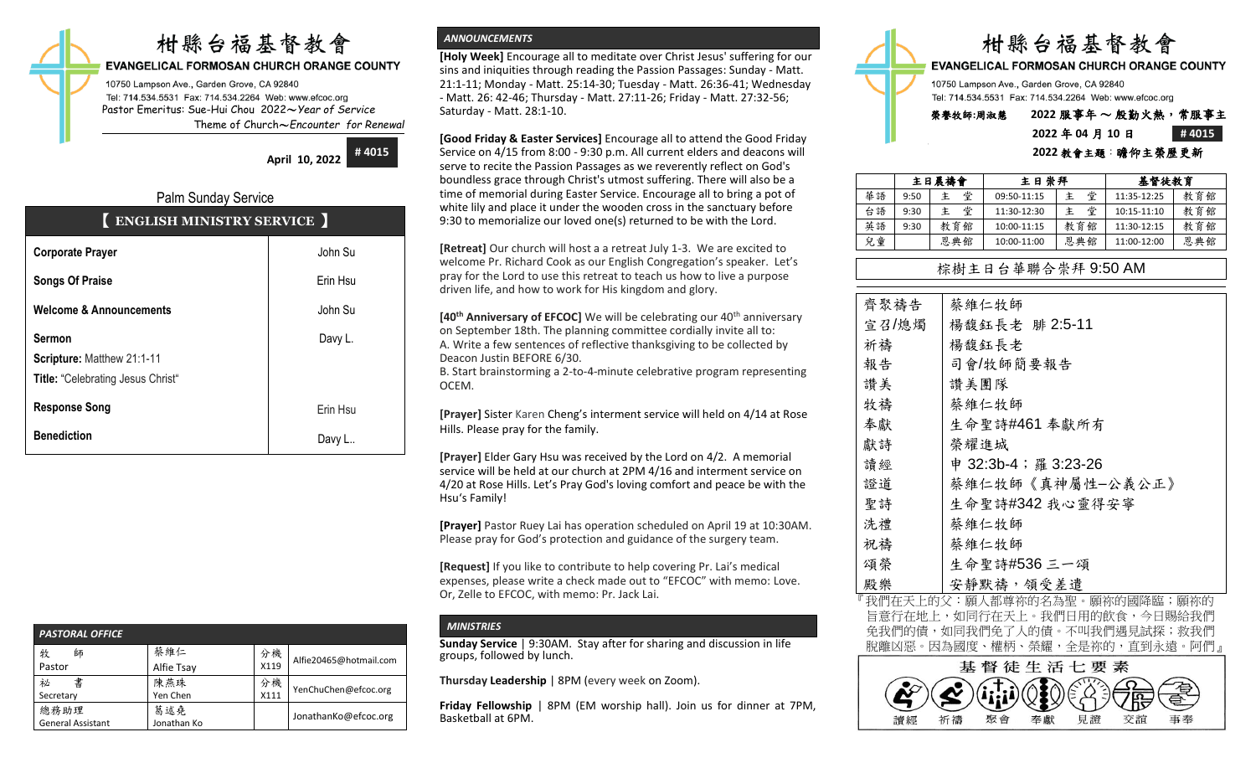# 柑縣台福基督教會

**EVANGELICAL FORMOSAN CHURCH ORANGE COUNTY** 

10750 Lampson Ave., Garden Grove, CA 92840 Tel: 714.534.5531 Fax: 714.534.2264 Web: www.efcoc.org Pastor Emeritus: Sue-Hui Chou 2022〜*Year of Service* Theme of Church〜*Encounter for Renewal*

**April 10, 2022**

**# 4015**

## Palm Sunday Service

| ENGLISH MINISTRY SERVICE |  |  |
|--------------------------|--|--|
|                          |  |  |

| <b>Corporate Prayer</b>                  | John Su  |
|------------------------------------------|----------|
| <b>Songs Of Praise</b>                   | Erin Hsu |
| <b>Welcome &amp; Announcements</b>       | John Su  |
| <b>Sermon</b>                            | Davy L.  |
| Scripture: Matthew 21:1-11               |          |
| <b>Title: "Celebrating Jesus Christ"</b> |          |
| <b>Response Song</b>                     | Erin Hsu |
| <b>Benediction</b>                       | Davy L   |

| <b>PASTORAL OFFICE</b>           |                    |            |                        |  |  |  |  |
|----------------------------------|--------------------|------------|------------------------|--|--|--|--|
| 牧<br>師<br>Pastor                 | 蔡維仁<br>Alfie Tsay  | 分機<br>X119 | Alfie20465@hotmail.com |  |  |  |  |
| 書<br>祕<br>Secretary              | 陳燕珠<br>Yen Chen    | 分機<br>X111 | YenChuChen@efcoc.org   |  |  |  |  |
| 總務助理<br><b>General Assistant</b> | 葛述堯<br>Jonathan Ko |            | JonathanKo@efcoc.org   |  |  |  |  |

## *ANNOUNCEMENTS*

**[Holy Week]** Encourage all to meditate over Christ Jesus' suffering for our sins and iniquities through reading the Passion Passages: Sunday - Matt. 21:1-11; Monday - Matt. 25:14-30; Tuesday - Matt. 26:36-41; Wednesday - Matt. 26: 42-46; Thursday - Matt. 27:11-26; Friday - Matt. 27:32-56; Saturday - Matt. 28:1-10.

**[Good Friday & Easter Services]** Encourage all to attend the Good Friday Service on 4/15 from 8:00 - 9:30 p.m. All current elders and deacons will serve to recite the Passion Passages as we reverently reflect on God's boundless grace through Christ's utmost suffering. There will also be a time of memorial during Easter Service. Encourage all to bring a pot of white lily and place it under the wooden cross in the sanctuary before 9:30 to memorialize our loved one(s) returned to be with the Lord.

**[Retreat]** Our church will host a a retreat July 1-3. We are excited to welcome Pr. Richard Cook as our English Congregation's speaker. Let's pray for the Lord to use this retreat to teach us how to live a purpose driven life, and how to work for His kingdom and glory.

**[40<sup>th</sup> Anniversary of EFCOC]** We will be celebrating our 40<sup>th</sup> anniversary on September 18th. The planning committee cordially invite all to: A. Write a few sentences of reflective thanksgiving to be collected by Deacon Justin BEFORE 6/30.

B. Start brainstorming a 2-to-4-minute celebrative program representing OCEM.

**[Prayer]** Sister Karen Cheng's interment service will held on 4/14 at Rose Hills. Please pray for the family.

**[Prayer]** Elder Gary Hsu was received by the Lord on 4/2. A memorial service will be held at our church at 2PM 4/16 and interment service on 4/20 at Rose Hills. Let's Pray God's loving comfort and peace be with the Hsu's Family!

**[Prayer]** Pastor Ruey Lai has operation scheduled on April 19 at 10:30AM. Please pray for God's protection and guidance of the surgery team.

**[Request]** If you like to contribute to help covering Pr. Lai's medical expenses, please write a check made out to "EFCOC" with memo: Love. Or, Zelle to EFCOC, with memo: Pr. Jack Lai.

## *MINISTRIES*

**Sunday Service** | 9:30AM. Stay after for sharing and discussion in life groups, followed by lunch.

**Thursday Leadership** | 8PM (every week on Zoom).

**Friday Fellowship** | 8PM (EM worship hall). Join us for dinner at 7PM, Basketball at 6PM.



Tel: 714.534.5531 Fax: 714.534.2264 Web: www.efcoc.org

## 榮譽牧師**:**周淑慧 **2022** 服事年 〜 殷勤火熱,常服事主 **2022** 年 **04** 月 **10** 日 **# 4015**

### **2022** 教會主題:瞻仰主榮歷更新

|    |      | 主日晨禱會  | 主日崇拜        |     | 基督徒教育       |     |
|----|------|--------|-------------|-----|-------------|-----|
| 華語 | 9:50 | 堂<br>主 | 09:50-11:15 | 堂   | 11:35-12:25 | 教育館 |
| 台語 | 9:30 | 堂<br>主 | 11:30-12:30 | 堂   | 10:15-11:10 | 教育館 |
| 英語 | 9:30 | 教育館    | 10:00-11:15 | 教育館 | 11:30-12:15 | 教育館 |
| 兒童 |      | 恩典館    | 10:00-11:00 | 恩典館 | 11:00-12:00 | 恩典館 |

## 棕樹主日台華聯合崇拜 9:50 AM

| 齊聚禱告  | 蔡維仁牧師                |
|-------|----------------------|
| 宣召/熄燭 | 楊馥鈺長老 腓 2:5-11       |
| 祈禱    | 楊馥鈺長老                |
| 報告    | 司會/牧師簡要報告            |
| 讚美    | 讚美團隊                 |
| 牧禱    | 蔡維仁牧師                |
| 奉獻    | 生命聖詩#461 奉獻所有        |
| 獻詩    | 榮耀進城                 |
| 讀經    | 申 32:3b-4; 羅 3:23-26 |
| 證道    | 蔡維仁牧師《真神屬性-公義公正》     |
| 聖詩    | 生命聖詩#342我心靈得安寧       |
| 洗禮    | 蔡維仁牧師                |
| 祝禱    | 蔡維仁牧師                |
| 頌榮    | 生命聖詩#536三一頌          |
| 殿樂    | 安靜默禱,領受差遣            |

我們在天上的父:願人都尊祢的名為聖。願祢的國降臨;願祢的 旨意行在地上,如同行在天上。我們日用的飲食,今日賜給我們 免我們的債,如同我們免了人的債。不叫我們遇見試探;救我們 脫離凶惡。因為國度、權柄、榮耀,全是祢的,直到永遠。阿們』